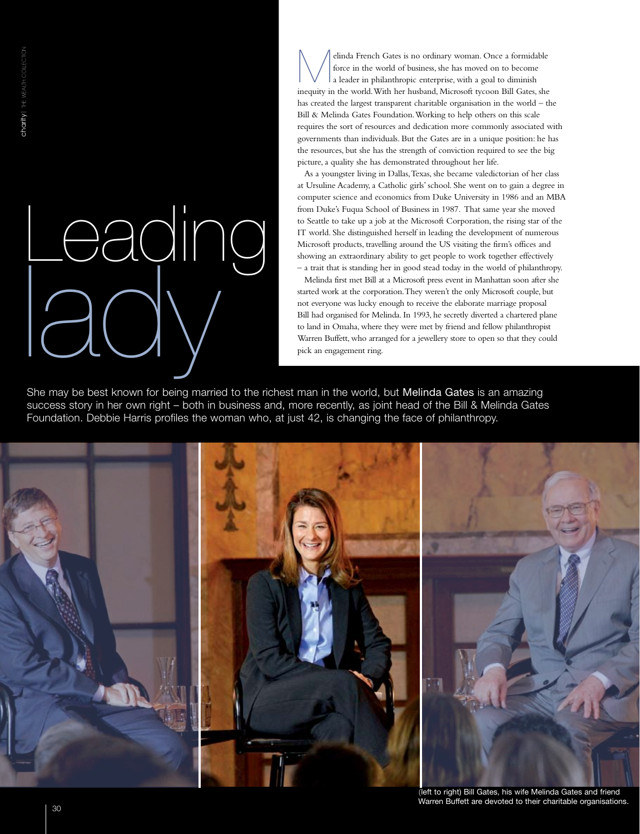# Leading lady

elinda French Gates is no ordinary woman. Once a formidable<br>force in the world of business, she has moved on to become<br>a leader in philanthropic enterprise, with a goal to diminish<br>inequity in the world With has bushed Mig force in the world of business, she has moved on to become a leader in philanthropic enterprise, with a goal to diminish inequity in the world. With her husband, Microsoft tycoon Bill Gates, she has created the largest transparent charitable organisation in the world – the Bill & Melinda Gates Foundation. Working to help others on this scale requires the sort of resources and dedication more commonly associated with governments than individuals. But the Gates are in a unique position: he has the resources, but she has the strength of conviction required to see the big picture, a quality she has demonstrated throughout her life.

As a youngster living in Dallas, Texas, she became valedictorian of her class at Ursuline Academy, a Catholic girls' school. She went on to gain a degree in computer science and economics from Duke University in 1986 and an MBA from Duke's Fuqua School of Business in 1987. That same year she moved to Seattle to take up a job at the Microsoft Corporation, the rising star of the IT world. She distinguished herself in leading the development of numerous Microsoft products, travelling around the US visiting the firm's offices and showing an extraordinary ability to get people to work together effectively – a trait that is standing her in good stead today in the world of philanthropy.

Melinda first met Bill at a Microsoft press event in Manhattan soon after she started work at the corporation. They weren't the only Microsoft couple, but not everyone was lucky enough to receive the elaborate marriage proposal Bill had organised for Melinda. In 1993, he secretly diverted a chartered plane to land in Omaha, where they were met by friend and fellow philanthropist Warren Buffett, who arranged for a jewellery store to open so that they could pick an engagement ring.

She may be best known for being married to the richest man in the world, but Melinda Gates is an amazing success story in her own right – both in business and, more recently, as joint head of the Bill & Melinda Gates Foundation. Debbie Harris profiles the woman who, at just 42, is changing the face of philanthropy.



(left to right) Bill Gates, his wife Melinda Gates and friend Warren Buffett are devoted to their charitable organisations.